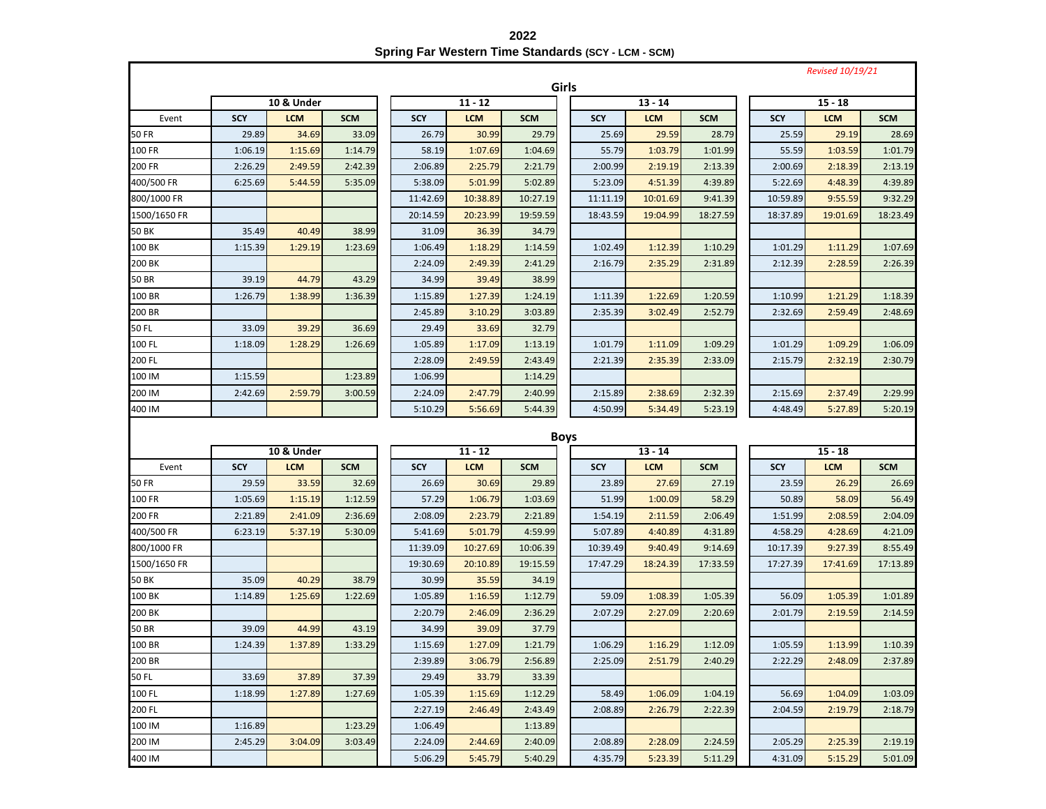**2022 Spring Far Western Time Standards (SCY - LCM - SCM)**

|               |            |            |            |            |            |            |             |            |            |            | <b>Revised 10/19/21</b> |            |  |
|---------------|------------|------------|------------|------------|------------|------------|-------------|------------|------------|------------|-------------------------|------------|--|
|               |            |            |            |            |            |            | Girls       |            |            |            |                         |            |  |
|               | 10 & Under |            |            |            | $11 - 12$  |            |             | $13 - 14$  |            | $15 - 18$  |                         |            |  |
| Event         | <b>SCY</b> | <b>LCM</b> | <b>SCM</b> | <b>SCY</b> | <b>LCM</b> | <b>SCM</b> | <b>SCY</b>  | <b>LCM</b> | <b>SCM</b> | <b>SCY</b> | <b>LCM</b>              | <b>SCM</b> |  |
| <b>50 FR</b>  | 29.89      | 34.69      | 33.09      | 26.79      | 30.99      | 29.79      | 25.69       | 29.59      | 28.79      | 25.59      | 29.19                   | 28.69      |  |
| 100 FR        | 1:06.19    | 1:15.69    | 1:14.79    | 58.19      | 1:07.69    | 1:04.69    | 55.79       | 1:03.79    | 1:01.99    | 55.59      | 1:03.59                 | 1:01.79    |  |
| 200 FR        | 2:26.29    | 2:49.59    | 2:42.39    | 2:06.89    | 2:25.79    | 2:21.79    | 2:00.99     | 2:19.19    | 2:13.39    | 2:00.69    | 2:18.39                 | 2:13.19    |  |
| 400/500 FR    | 6:25.69    | 5:44.59    | 5:35.09    | 5:38.09    | 5:01.99    | 5:02.89    | 5:23.09     | 4:51.39    | 4:39.89    | 5:22.69    | 4:48.39                 | 4:39.89    |  |
| 800/1000 FR   |            |            |            | 11:42.69   | 10:38.89   | 10:27.19   | 11:11.19    | 10:01.69   | 9:41.39    | 10:59.89   | 9:55.59                 | 9:32.29    |  |
| 1500/1650 FR  |            |            |            | 20:14.59   | 20:23.99   | 19:59.59   | 18:43.59    | 19:04.99   | 18:27.59   | 18:37.89   | 19:01.69                | 18:23.49   |  |
| <b>50 BK</b>  | 35.49      | 40.49      | 38.99      | 31.09      | 36.39      | 34.79      |             |            |            |            |                         |            |  |
| 100 BK        | 1:15.39    | 1:29.19    | 1:23.69    | 1:06.49    | 1:18.29    | 1:14.59    | 1:02.49     | 1:12.39    | 1:10.29    | 1:01.29    | 1:11.29                 | 1:07.69    |  |
| 200 BK        |            |            |            | 2:24.09    | 2:49.39    | 2:41.29    | 2:16.79     | 2:35.29    | 2:31.89    | 2:12.39    | 2:28.59                 | 2:26.39    |  |
| <b>50 BR</b>  | 39.19      | 44.79      | 43.29      | 34.99      | 39.49      | 38.99      |             |            |            |            |                         |            |  |
| 100 BR        | 1:26.79    | 1:38.99    | 1:36.39    | 1:15.89    | 1:27.39    | 1:24.19    | 1:11.39     | 1:22.69    | 1:20.59    | 1:10.99    | 1:21.29                 | 1:18.39    |  |
| 200 BR        |            |            |            | 2:45.89    | 3:10.29    | 3:03.89    | 2:35.39     | 3:02.49    | 2:52.79    | 2:32.69    | 2:59.49                 | 2:48.69    |  |
| 50 FL         | 33.09      | 39.29      | 36.69      | 29.49      | 33.69      | 32.79      |             |            |            |            |                         |            |  |
| 100 FL        | 1:18.09    | 1:28.29    | 1:26.69    | 1:05.89    | 1:17.09    | 1:13.19    | 1:01.79     | 1:11.09    | 1:09.29    | 1:01.29    | 1:09.29                 | 1:06.09    |  |
| 200 FL        |            |            |            | 2:28.09    | 2:49.59    | 2:43.49    | 2:21.39     | 2:35.39    | 2:33.09    | 2:15.79    | 2:32.19                 | 2:30.79    |  |
| 100 IM        | 1:15.59    |            | 1:23.89    | 1:06.99    |            | 1:14.29    |             |            |            |            |                         |            |  |
| 200 IM        | 2:42.69    | 2:59.79    | 3:00.59    | 2:24.09    | 2:47.79    | 2:40.99    | 2:15.89     | 2:38.69    | 2:32.39    | 2:15.69    | 2:37.49                 | 2:29.99    |  |
| 400 IM        |            |            |            | 5:10.29    | 5:56.69    | 5:44.39    | 4:50.99     | 5:34.49    | 5:23.19    | 4:48.49    | 5:27.89                 | 5:20.19    |  |
|               |            |            |            |            |            |            |             |            |            |            |                         |            |  |
|               |            |            |            |            |            |            | <b>Boys</b> |            |            |            |                         |            |  |
|               |            | 10 & Under |            |            | $11 - 12$  |            |             | $13 - 14$  |            |            | $15 - 18$               |            |  |
| Event         | <b>SCY</b> | <b>LCM</b> | <b>SCM</b> | <b>SCY</b> | <b>LCM</b> | <b>SCM</b> | <b>SCY</b>  | <b>LCM</b> | <b>SCM</b> | <b>SCY</b> | <b>LCM</b>              | <b>SCM</b> |  |
| <b>50 FR</b>  | 29.59      | 33.59      | 32.69      | 26.69      | 30.69      | 29.89      | 23.89       | 27.69      | 27.19      | 23.59      | 26.29                   | 26.69      |  |
| <b>100 FR</b> | 1:05.69    | 1:15.19    | 1:12.59    | 57.29      | 1:06.79    | 1:03.69    | 51.99       | 1:00.09    | 58.29      | 50.89      | 58.09                   | 56.49      |  |
| 200 FR        | 2:21.89    | 2:41.09    | 2:36.69    | 2:08.09    | 2:23.79    | 2:21.89    | 1:54.19     | 2:11.59    | 2:06.49    | 1:51.99    | 2:08.59                 | 2:04.09    |  |
| 400/500 FR    | 6:23.19    | 5:37.19    | 5:30.09    | 5:41.69    | 5:01.79    | 4:59.99    | 5:07.89     | 4:40.89    | 4:31.89    | 4:58.29    | 4:28.69                 | 4:21.09    |  |
| 800/1000 FR   |            |            |            | 11:39.09   | 10:27.69   | 10:06.39   | 10:39.49    | 9:40.49    | 9:14.69    | 10:17.39   | 9:27.39                 | 8:55.49    |  |
| 1500/1650 FR  |            |            |            | 19:30.69   | 20:10.89   | 19:15.59   | 17:47.29    | 18:24.39   | 17:33.59   | 17:27.39   | 17:41.69                | 17:13.89   |  |
| 50 BK         | 35.09      | 40.29      | 38.79      | 30.99      | 35.59      | 34.19      |             |            |            |            |                         |            |  |
| 100 BK        | 1:14.89    | 1:25.69    | 1:22.69    | 1:05.89    | 1:16.59    | 1:12.79    | 59.09       | 1:08.39    | 1:05.39    | 56.09      | 1:05.39                 | 1:01.89    |  |
| 200 BK        |            |            |            | 2:20.79    | 2:46.09    | 2:36.29    | 2:07.29     | 2:27.09    | 2:20.69    | 2:01.79    | 2:19.59                 | 2:14.59    |  |
| 50 BR         | 39.09      | 44.99      | 43.19      | 34.99      | 39.09      | 37.79      |             |            |            |            |                         |            |  |
| 100 BR        | 1:24.39    | 1:37.89    | 1:33.29    | 1:15.69    | 1:27.09    | 1:21.79    | 1:06.29     | 1:16.29    | 1:12.09    | 1:05.59    | 1:13.99                 | 1:10.39    |  |
| 200 BR        |            |            |            | 2:39.89    | 3:06.79    | 2:56.89    | 2:25.09     | 2:51.79    | 2:40.29    | 2:22.29    | 2:48.09                 | 2:37.89    |  |
| <b>50 FL</b>  | 33.69      | 37.89      | 37.39      | 29.49      | 33.79      | 33.39      |             |            |            |            |                         |            |  |
| 100 FL        | 1:18.99    | 1:27.89    | 1:27.69    | 1:05.39    | 1:15.69    | 1:12.29    | 58.49       | 1:06.09    | 1:04.19    | 56.69      | 1:04.09                 | 1:03.09    |  |
| 200 FL        |            |            |            | 2:27.19    | 2:46.49    | 2:43.49    | 2:08.89     | 2:26.79    | 2:22.39    | 2:04.59    | 2:19.79                 | 2:18.79    |  |
| 100 IM        | 1:16.89    |            | 1:23.29    | 1:06.49    |            | 1:13.89    |             |            |            |            |                         |            |  |
| 200 IM        | 2:45.29    | 3:04.09    | 3:03.49    | 2:24.09    | 2:44.69    | 2:40.09    | 2:08.89     | 2:28.09    | 2:24.59    | 2:05.29    | 2:25.39                 | 2:19.19    |  |
| 400 IM        |            |            |            | 5:06.29    | 5:45.79    | 5:40.29    | 4:35.79     | 5:23.39    | 5:11.29    | 4:31.09    | 5:15.29                 | 5:01.09    |  |